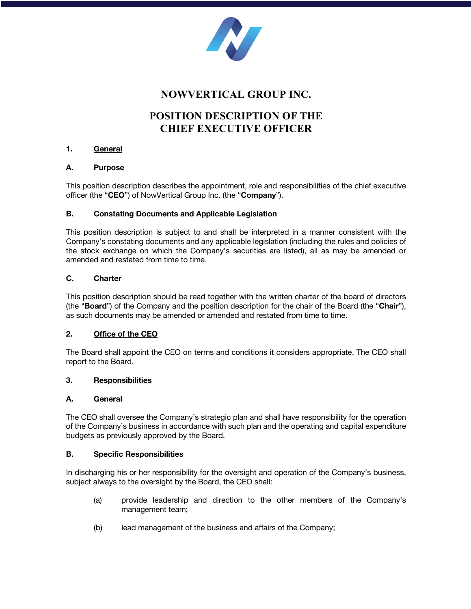

# **NOWVERTICAL GROUP INC.**

# **POSITION DESCRIPTION OF THE CHIEF EXECUTIVE OFFICER**

# **1. General**

#### **A. Purpose**

This position description describes the appointment, role and responsibilities of the chief executive officer (the "**CEO**") of NowVertical Group Inc. (the "**Company**").

# **B. Constating Documents and Applicable Legislation**

This position description is subject to and shall be interpreted in a manner consistent with the Company's constating documents and any applicable legislation (including the rules and policies of the stock exchange on which the Company's securities are listed), all as may be amended or amended and restated from time to time.

#### **C. Charter**

This position description should be read together with the written charter of the board of directors (the "**Board**") of the Company and the position description for the chair of the Board (the "**Chair**"), as such documents may be amended or amended and restated from time to time.

# **2. Office of the CEO**

The Board shall appoint the CEO on terms and conditions it considers appropriate. The CEO shall report to the Board.

# **3. Responsibilities**

# **A. General**

The CEO shall oversee the Company's strategic plan and shall have responsibility for the operation of the Company's business in accordance with such plan and the operating and capital expenditure budgets as previously approved by the Board.

#### **B. Specific Responsibilities**

In discharging his or her responsibility for the oversight and operation of the Company's business, subject always to the oversight by the Board, the CEO shall:

- (a) provide leadership and direction to the other members of the Company's management team;
- (b) lead management of the business and affairs of the Company;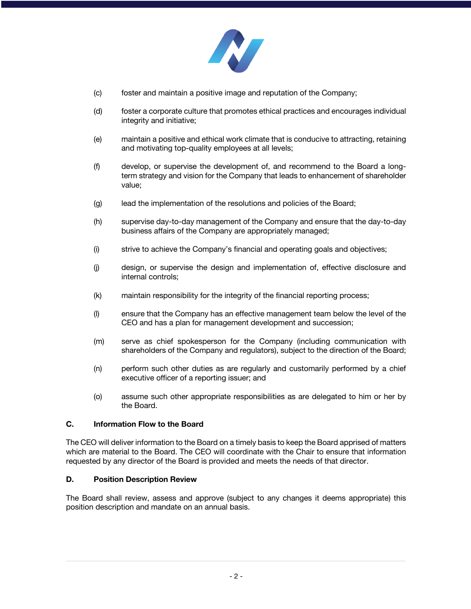

- (c) foster and maintain a positive image and reputation of the Company;
- (d) foster a corporate culture that promotes ethical practices and encourages individual integrity and initiative;
- (e) maintain a positive and ethical work climate that is conducive to attracting, retaining and motivating top-quality employees at all levels;
- (f) develop, or supervise the development of, and recommend to the Board a longterm strategy and vision for the Company that leads to enhancement of shareholder value;
- (g) lead the implementation of the resolutions and policies of the Board;
- (h) supervise day-to-day management of the Company and ensure that the day-to-day business affairs of the Company are appropriately managed;
- (i) strive to achieve the Company's financial and operating goals and objectives;
- (j) design, or supervise the design and implementation of, effective disclosure and internal controls;
- (k) maintain responsibility for the integrity of the financial reporting process;
- (l) ensure that the Company has an effective management team below the level of the CEO and has a plan for management development and succession;
- (m) serve as chief spokesperson for the Company (including communication with shareholders of the Company and regulators), subject to the direction of the Board;
- (n) perform such other duties as are regularly and customarily performed by a chief executive officer of a reporting issuer; and
- (o) assume such other appropriate responsibilities as are delegated to him or her by the Board.

#### **C. Information Flow to the Board**

The CEO will deliver information to the Board on a timely basis to keep the Board apprised of matters which are material to the Board. The CEO will coordinate with the Chair to ensure that information requested by any director of the Board is provided and meets the needs of that director.

#### **D. Position Description Review**

The Board shall review, assess and approve (subject to any changes it deems appropriate) this position description and mandate on an annual basis.